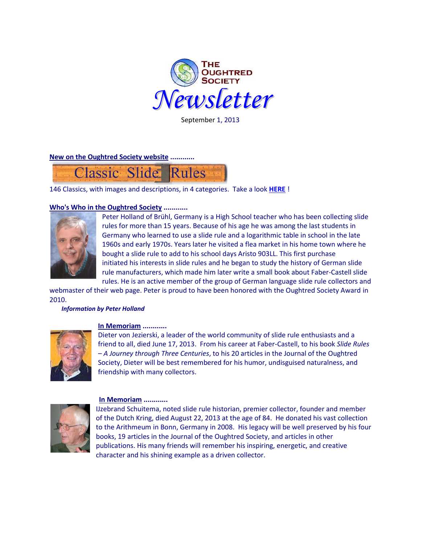

September 1, 2013

**New on the Oughtred Society website ............**



146 Classics, with images and descriptions, in 4 categories. Take a look **[HERE](http://osgalleries.org/classic/index.html)** !

## **Who's Who in the Oughtred Society ............**



Peter Holland of Brühl, Germany is a High School teacher who has been collecting slide rules for more than 15 years. Because of his age he was among the last students in Germany who learned to use a slide rule and a logarithmic table in school in the late 1960s and early 1970s. Years later he visited a flea market in his home town where he bought a slide rule to add to his school days Aristo 903LL. This first purchase initiated his interests in slide rules and he began to study the history of German slide rule manufacturers, which made him later write a small book about Faber-Castell slide rules. He is an active member of the group of German language slide rule collectors and

webmaster of their web page. Peter is proud to have been honored with the Oughtred Society Award in 2010.

#### *Information by Peter Holland*



## **In Memoriam ............**

Dieter von Jezierski, a leader of the world community of slide rule enthusiasts and a friend to all, died June 17, 2013. From his career at Faber-Castell, to his book *Slide Rules – A Journey through Three Centuries*, to his 20 articles in the Journal of the Oughtred Society, Dieter will be best remembered for his humor, undisguised naturalness, and friendship with many collectors.



#### **In Memoriam ............**

IJzebrand Schuitema, noted slide rule historian, premier collector, founder and member of the Dutch Kring, died August 22, 2013 at the age of 84. He donated his vast collection to the Arithmeum in Bonn, Germany in 2008. His legacy will be well preserved by his four books, 19 articles in the Journal of the Oughtred Society, and articles in other publications. His many friends will remember his inspiring, energetic, and creative character and his shining example as a driven collector.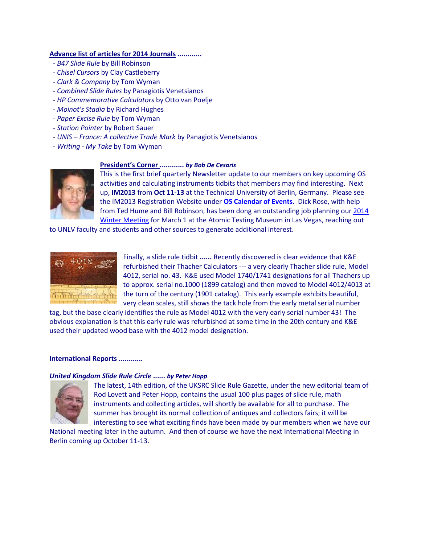### **Advance list of articles for 2014 Journals ............**

- *- B47 Slide Rule* by Bill Robinson
- *- Chisel Cursors* by Clay Castleberry
- *- Clark & Company* by Tom Wyman
- *- Combined Slide Rules* by Panagiotis Venetsianos
- *- HP Commemorative Calculators* by Otto van Poelje
- *Moinot's Stadia* by Richard Hughes
- *- Paper Excise Rule* by Tom Wyman
- *- Station Pointer* by Robert Sauer
- *- UNIS – France: A collective Trade Mark* by Panagiotis Venetsianos
- *- Writing - My Take* by Tom Wyman

# **President's Corner ............** *by Bob De Cesaris*



This is the first brief quarterly Newsletter update to our members on key upcoming OS activities and calculating instruments tidbits that members may find interesting. Next up, **IM2013** from **Oct 11-13** at the Technical University of Berlin, Germany. Please see the IM2013 Registration Website under **[OS Calendar of Events.](http://www.oughtred.org/)** Dick Rose, with help from Ted Hume and Bill Robinson, has been dong an outstanding job planning ou[r 2014](http://www.oughtred.org/meets.shtml)  [Winter Meeting](http://www.oughtred.org/meets.shtml) for March 1 at the Atomic Testing Museum in Las Vegas, reaching out

to UNLV faculty and students and other sources to generate additional interest.



Finally, a slide rule tidbit **......** Recently discovered is clear evidence that K&E refurbished their Thacher Calculators --- a very clearly Thacher slide rule, Model 4012, serial no. 43. K&E used Model 1740/1741 designations for all Thachers up to approx. serial no.1000 (1899 catalog) and then moved to Model 4012/4013 at the turn of the century (1901 catalog). This early example exhibits beautiful, very clean scales, still shows the tack hole from the early metal serial number

tag, but the base clearly identifies the rule as Model 4012 with the very early serial number 43! The obvious explanation is that this early rule was refurbished at some time in the 20th century and K&E used their updated wood base with the 4012 model designation.

#### **International Reports ............**

## *United Kingdom Slide Rule Circle* **......** *by Peter Hopp*



The latest, 14th edition, of the UKSRC Slide Rule Gazette, under the new editorial team of Rod Lovett and Peter Hopp, contains the usual 100 plus pages of slide rule, math instruments and collecting articles, will shortly be available for all to purchase. The summer has brought its normal collection of antiques and collectors fairs; it will be interesting to see what exciting finds have been made by our members when we have our

National meeting later in the autumn. And then of course we have the next International Meeting in Berlin coming up October 11-13.